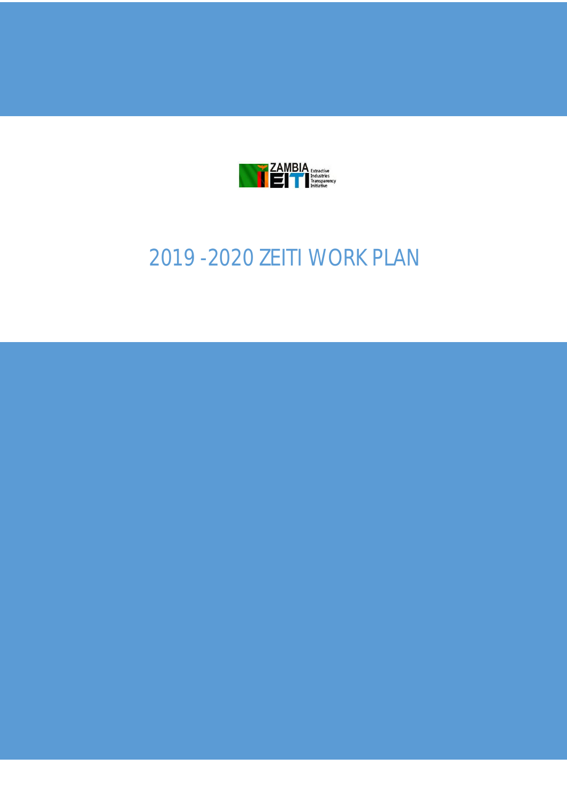

# 2019 -2020 ZEITI WORK PLAN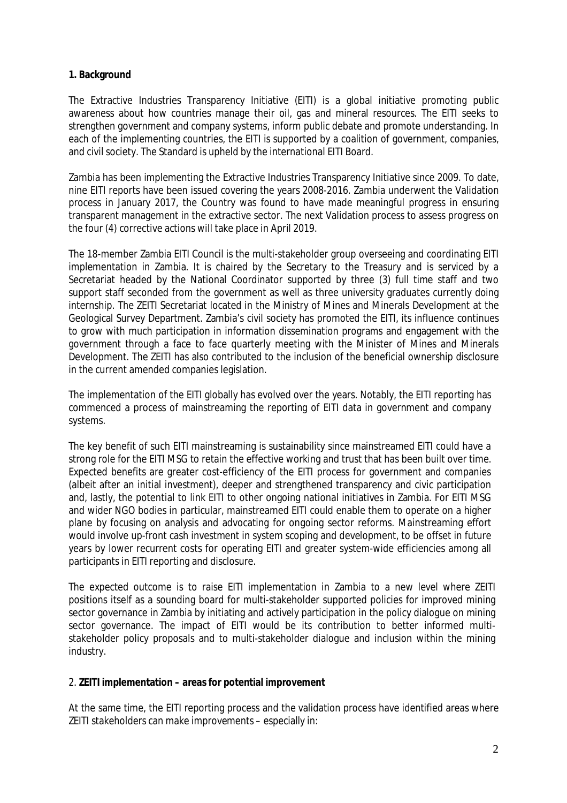#### **1. Background**

The Extractive Industries Transparency Initiative (EITI) is a global initiative promoting public awareness about how countries manage their oil, gas and mineral resources. The EITI seeks to strengthen government and company systems, inform public debate and promote understanding. In each of the implementing countries, the EITI is supported by a coalition of government, companies, and civil society. The Standard is upheld by the international EITI Board.

Zambia has been implementing the Extractive Industries Transparency Initiative since 2009. To date, nine EITI reports have been issued covering the years 2008-2016. Zambia underwent the Validation process in January 2017, the Country was found to have made meaningful progress in ensuring transparent management in the extractive sector. The next Validation process to assess progress on the four (4) corrective actions will take place in April 2019.

The 18-member Zambia EITI Council is the multi-stakeholder group overseeing and coordinating EITI implementation in Zambia. It is chaired by the Secretary to the Treasury and is serviced by a Secretariat headed by the National Coordinator supported by three (3) full time staff and two support staff seconded from the government as well as three university graduates currently doing internship. The ZEITI Secretariat located in the Ministry of Mines and Minerals Development at the Geological Survey Department. Zambia's civil society has promoted the EITI, its influence continues to grow with much participation in information dissemination programs and engagement with the government through a face to face quarterly meeting with the Minister of Mines and Minerals Development. The ZEITI has also contributed to the inclusion of the beneficial ownership disclosure in the current amended companies legislation.

The implementation of the EITI globally has evolved over the years. Notably, the EITI reporting has commenced a process of mainstreaming the reporting of EITI data in government and company systems.

The key benefit of such EITI mainstreaming is sustainability since mainstreamed EITI could have a strong role for the EITI MSG to retain the effective working and trust that has been built over time. Expected benefits are greater cost-efficiency of the EITI process for government and companies (albeit after an initial investment), deeper and strengthened transparency and civic participation and, lastly, the potential to link EITI to other ongoing national initiatives in Zambia. For EITI MSG and wider NGO bodies in particular, mainstreamed EITI could enable them to operate on a higher plane by focusing on analysis and advocating for ongoing sector reforms. Mainstreaming effort would involve up-front cash investment in system scoping and development, to be offset in future years by lower recurrent costs for operating EITI and greater system-wide efficiencies among all participants in EITI reporting and disclosure.

The expected outcome is to raise EITI implementation in Zambia to a new level where ZEITI positions itself as a sounding board for multi-stakeholder supported policies for improved mining sector governance in Zambia by initiating and actively participation in the policy dialogue on mining sector governance. The impact of EITI would be its contribution to better informed multistakeholder policy proposals and to multi-stakeholder dialogue and inclusion within the mining industry.

## 2. **ZEITI implementation – areas for potential improvement**

At the same time, the EITI reporting process and the validation process have identified areas where ZEITI stakeholders can make improvements – especially in: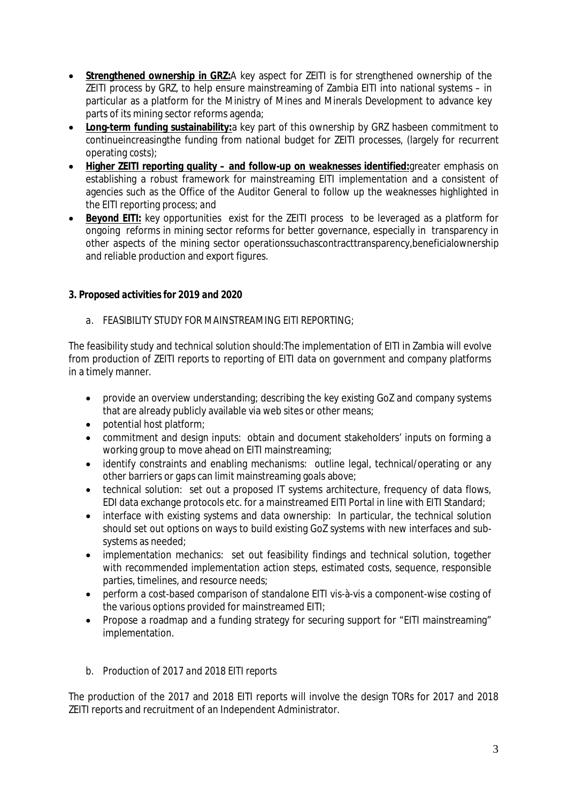- **Strengthened ownership in GRZ:**A key aspect for ZEITI is for strengthened ownership of the ZEITI process by GRZ, to help ensure mainstreaming of Zambia EITI into national systems – in particular as a platform for the Ministry of Mines and Minerals Development to advance key parts of its mining sector reforms agenda;
- **Long-term funding sustainability:**a key part of this ownership by GRZ hasbeen commitment to continueincreasingthe funding from national budget for ZEITI processes, (largely for recurrent operating costs);
- **Higher ZEITI reporting quality – and follow-up on weaknesses identified:**greater emphasis on establishing a robust framework for mainstreaming EITI implementation and a consistent of agencies such as the Office of the Auditor General to follow up the weaknesses highlighted in the EITI reporting process; and
- **Beyond EITI:** key opportunities exist for the ZEITI process to be leveraged as a platform for ongoing reforms in mining sector reforms for better governance, especially in transparency in other aspects of the mining sector operationssuchascontracttransparency,beneficialownership and reliable production and export figures.

# *3. Proposed activities for 2019 and 2020*

# *a. FEASIBILITY STUDY FOR MAINSTREAMING EITI REPORTING;*

The feasibility study and technical solution should:The implementation of EITI in Zambia will evolve from production of ZEITI reports to reporting of EITI data on government and company platforms in a timely manner.

- provide an overview understanding; describing the key existing GoZ and company systems that are already publicly available via web sites or other means;
- potential host platform;
- commitment and design inputs: obtain and document stakeholders' inputs on forming a working group to move ahead on EITI mainstreaming;
- identify constraints and enabling mechanisms: outline legal, technical/operating or any other barriers or gaps can limit mainstreaming goals above;
- technical solution: set out a proposed IT systems architecture, frequency of data flows, EDI data exchange protocols etc. for a mainstreamed EITI Portal in line with EITI Standard;
- interface with existing systems and data ownership: In particular, the technical solution should set out options on ways to build existing GoZ systems with new interfaces and subsystems as needed;
- implementation mechanics: set out feasibility findings and technical solution, together with recommended implementation action steps, estimated costs, sequence, responsible parties, timelines, and resource needs;
- perform a cost-based comparison of standalone EITI vis-à-vis a component-wise costing of the various options provided for mainstreamed EITI;
- Propose a roadmap and a funding strategy for securing support for "EITI mainstreaming" implementation.

## *b. Production of 2017 and 2018 EITI reports*

The production of the 2017 and 2018 EITI reports will involve the design TORs for 2017 and 2018 ZEITI reports and recruitment of an Independent Administrator.